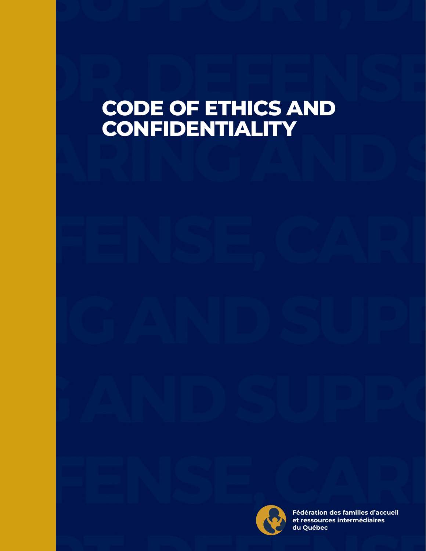# **CODE OF ETHICS AND CONFIDENTIALITY**



**Adopted by the board of the board of the board of the board of the board of the board of the board of the board of the board of the board of the board of the board of the board of the board of the board of the board of th** on December 5, 2020 **du QuébecFédération des familles d'accueil**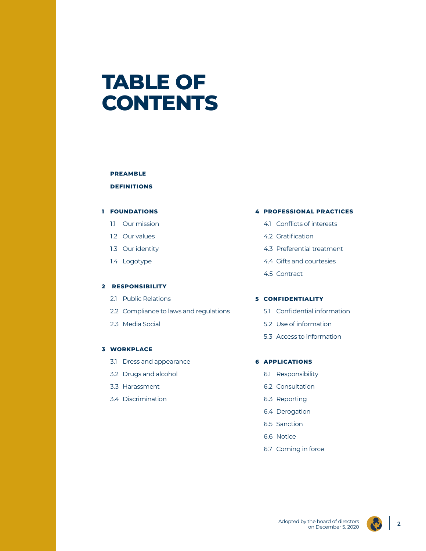# **TABLE OF CONTENTS**

### **PREAMBLE**

# **DEFINITIONS**

### **1 FOUNDATIONS**

- 1.1 Our mission
- 1.2 Our values
- 1.3 Our identity
- 1.4 Logotype

### **2 RESPONSIBILITY**

- 2.1 Public Relations
- 2.2 Compliance to laws and regulations
- 2.3 Media Social

### **3 WORKPLACE**

- 3.1 Dress and appearance
- 3.2 Drugs and alcohol
- 3.3 Harassment
- 3.4 Discrimination

### **4 PROFESSIONAL PRACTICES**

- 4.1 Conflicts of interests
- 4.2 Gratification
- 4.3 Preferential treatment
- 4.4 Gifts and courtesies
- 4.5 Contract

# **5 CONFIDENTIALITY**

- 5.1 Confidential information
- 5.2 Use of information
- 5.3 Access to information

### **6 APPLICATIONS**

- 6.1 Responsibility
- 6.2 Consultation
- 6.3 Reporting
- 6.4 Derogation
- 6.5 Sanction
- 6.6 Notice
- 6.7 Coming in force

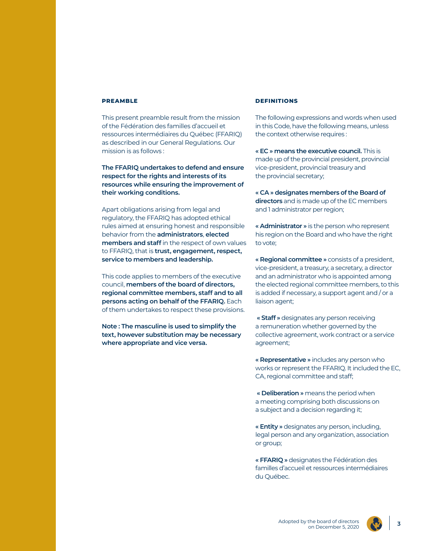### **PREAMBLE**

This present preamble result from the mission of the Fédération des familles d'accueil et ressources intermédiaires du Québec (FFARIQ) as described in our General Regulations. Our mission is as follows :

**The FFARIQ undertakes to defend and ensure respect for the rights and interests of its resources while ensuring the improvement of their working conditions.**

Apart obligations arising from legal and regulatory, the FFARIQ has adopted ethical rules aimed at ensuring honest and responsible behavior from the **administrators**, **elected members and staff** in the respect of own values to FFARIQ, that is **trust, engagement, respect, service to members and leadership.**

This code applies to members of the executive council, **members of the board of directors, regional committee members, staff and to all persons acting on behalf of the FFARIQ.** Each of them undertakes to respect these provisions.

**Note : The masculine is used to simplify the text, however substitution may be necessary where appropriate and vice versa.**

### **DEFINITIONS**

The following expressions and words when used in this Code, have the following means, unless the context otherwise requires :

**« EC » means the executive council.** This is made up of the provincial president, provincial vice-president, provincial treasury and the provincial secretary;

**« CA » designates members of the Board of directors** and is made up of the EC members and 1 administrator per region;

**« Administrator »** is the person who represent his region on the Board and who have the right to vote;

**« Regional committee »** consists of a president, vice-president, a treasury, a secretary, a director and an administrator who is appointed among the elected regional committee members, to this is added if necessary, a support agent and / or a liaison agent;

 **« Staff »** designates any person receiving a remuneration whether governed by the collective agreement, work contract or a service agreement;

**« Representative »** includes any person who works or represent the FFARIQ. It included the EC, CA, regional committee and staff;

 **« Deliberation »** means the period when a meeting comprising both discussions on a subject and a decision regarding it;

**« Entity »** designates any person, including, legal person and any organization, association or group;

**« FFARIQ »** designates the Fédération des familles d'accueil et ressources intermédiaires du Québec.

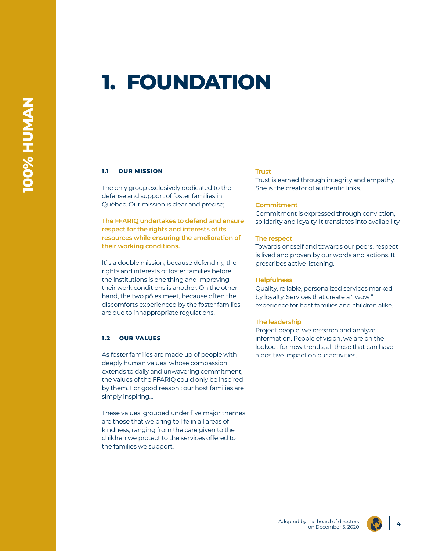# **1. FOUNDATION**

### **1.1 OUR MISSION**

The only group exclusively dedicated to the defense and support of foster families in Québec. Our mission is clear and precise;

**The FFARIQ undertakes to defend and ensure respect for the rights and interests of its resources while ensuring the amelioration of their working conditions.**

It`s a double mission, because defending the rights and interests of foster families before the institutions is one thing and improving their work conditions is another. On the other hand, the two pôles meet, because often the discomforts experienced by the foster families are due to innappropriate regulations.

### **1.2 OUR VALUES**

As foster families are made up of people with deeply human values, whose compassion extends to daily and unwavering commitment, the values of the FFARIQ could only be inspired by them. For good reason : our host families are simply inspiring...

These values, grouped under five major themes, are those that we bring to life in all areas of kindness, ranging from the care given to the children we protect to the services offered to the families we support.

# **Trust**

Trust is earned through integrity and empathy. She is the creator of authentic links.

### **Commitment**

Commitment is expressed through conviction, solidarity and loyalty. It translates into availability.

#### **The respect**

Towards oneself and towards our peers, respect is lived and proven by our words and actions. It prescribes active listening.

#### **Helpfulness**

Quality, reliable, personalized services marked by loyalty. Services that create a " wow " experience for host families and children alike.

#### **The leadership**

Project people, we research and analyze information. People of vision, we are on the lookout for new trends, all those that can have a positive impact on our activities.



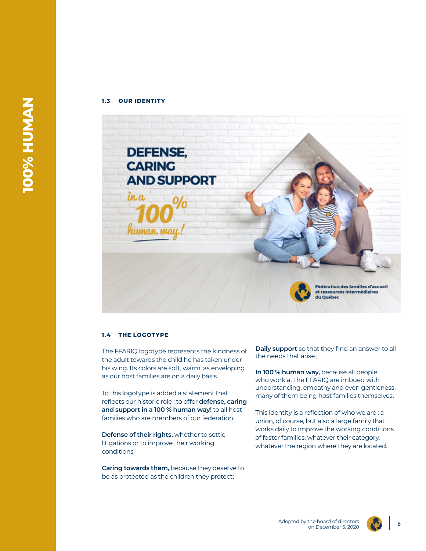### **1.3 OUR IDENTITY**



# **1.4 THE LOGOTYPE**

The FFARIQ logotype represents the kindness of the adult towards the child he has taken under his wing. Its colors are soft, warm, as enveloping as our host families are on a daily basis.

To this logotype is added a statement that reflects our historic role : to offer **defense, caring and support in a 100 % human way!** to all host families who are members of our federation.

**Defense of their rights,** whether to settle litigations or to improve their working conditions;

**Caring towards them,** because they deserve to be as protected as the children they protect;

**Daily support** so that they find an answer to all the needs that arise ;

**In 100 % human way,** because all people who work at the FFARIQ are imbued with understanding, empathy and even gentleness, many of them being host families themselves.

This identity is a reflection of who we are : a union, of course, but also a large family that works daily to improve the working conditions of foster families, whatever their category, whatever the region where they are located.



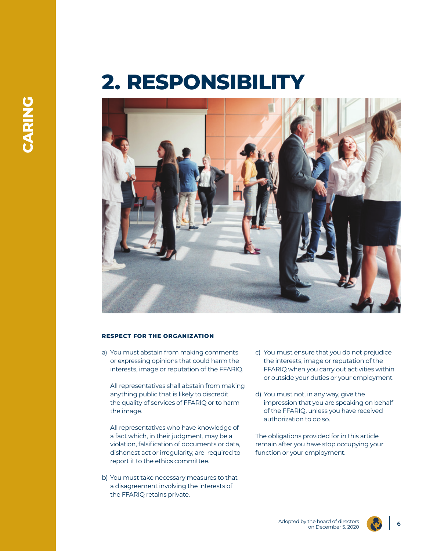# **2. RESPONSIBILITY**



### **RESPECT FOR THE ORGANIZATION**

a) You must abstain from making comments or expressing opinions that could harm the interests, image or reputation of the FFARIQ.

All representatives shall abstain from making anything public that is likely to discredit the quality of services of FFARIQ or to harm the image.

All representatives who have knowledge of a fact which, in their judgment, may be a violation, falsification of documents or data, dishonest act or irregularity, are required to report it to the ethics committee.

b) You must take necessary measures to that a disagreement involving the interests of the FFARIQ retains private.

- c) You must ensure that you do not prejudice the interests, image or reputation of the FFARIQ when you carry out activities within or outside your duties or your employment.
- d) You must not, in any way, give the impression that you are speaking on behalf of the FFARIQ, unless you have received authorization to do so.

The obligations provided for in this article remain after you have stop occupying your function or your employment.

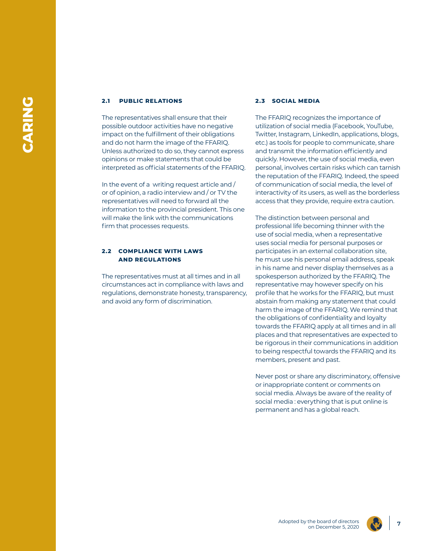### **2.1 PUBLIC RELATIONS**

The representatives shall ensure that their possible outdoor activities have no negative impact on the fulfillment of their obligations and do not harm the image of the FFARIQ. Unless authorized to do so, they cannot express opinions or make statements that could be interpreted as official statements of the FFARIQ.

In the event of a writing request article and / or of opinion, a radio interview and / or TV the representatives will need to forward all the information to the provincial president. This one will make the link with the communications firm that processes requests.

### **2.2 COMPLIANCE WITH LAWS AND REGULATIONS**

The representatives must at all times and in all circumstances act in compliance with laws and regulations, demonstrate honesty, transparency, and avoid any form of discrimination.

### **2.3 SOCIAL MEDIA**

The FFARIQ recognizes the importance of utilization of social media (Facebook, YouTube, Twitter, Instagram, LinkedIn, applications, blogs, etc.) as tools for people to communicate, share and transmit the information efficiently and quickly. However, the use of social media, even personal, involves certain risks which can tarnish the reputation of the FFARIQ. Indeed, the speed of communication of social media, the level of interactivity of its users, as well as the borderless access that they provide, require extra caution.

The distinction between personal and professional life becoming thinner with the use of social media, when a representative uses social media for personal purposes or participates in an external collaboration site, he must use his personal email address, speak in his name and never display themselves as a spokesperson authorized by the FFARIQ. The representative may however specify on his profile that he works for the FFARIQ, but must abstain from making any statement that could harm the image of the FFARIQ. We remind that the obligations of confidentiality and loyalty towards the FFARIQ apply at all times and in all places and that representatives are expected to be rigorous in their communications in addition to being respectful towards the FFARIQ and its members, present and past.

Never post or share any discriminatory, offensive or inappropriate content or comments on social media. Always be aware of the reality of social media : everything that is put online is permanent and has a global reach.

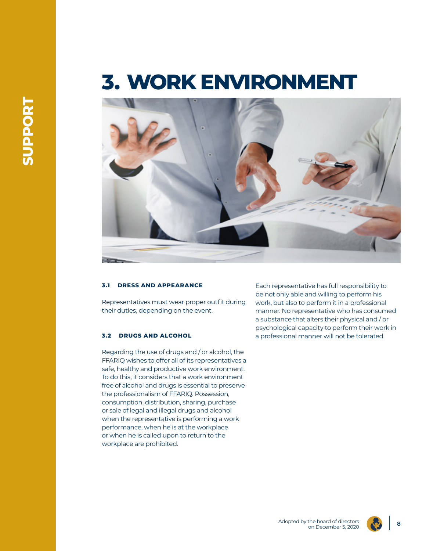# **3. WORK ENVIRONMENT**



# **3.1 DRESS AND APPEARANCE**

Representatives must wear proper outfit during their duties, depending on the event.

# **3.2 DRUGS AND ALCOHOL**

Regarding the use of drugs and / or alcohol, the FFARIQ wishes to offer all of its representatives a safe, healthy and productive work environment. To do this, it considers that a work environment free of alcohol and drugs is essential to preserve the professionalism of FFARIQ. Possession, consumption, distribution, sharing, purchase or sale of legal and illegal drugs and alcohol when the representative is performing a work performance, when he is at the workplace or when he is called upon to return to the workplace are prohibited.

Each representative has full responsibility to be not only able and willing to perform his work, but also to perform it in a professional manner. No representative who has consumed a substance that alters their physical and / or psychological capacity to perform their work in a professional manner will not be tolerated.

Adopted by the board of directors the board of directors<br>on December 5, 2020



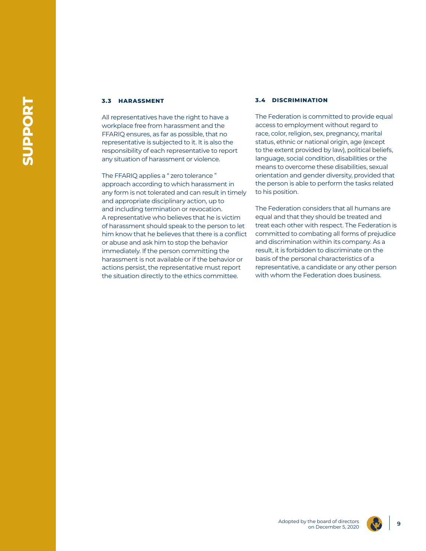### **3.3 HARASSMENT**

All representatives have the right to have a workplace free from harassment and the FFARIQ ensures, as far as possible, that no representative is subjected to it. It is also the responsibility of each representative to report any situation of harassment or violence.

The FFARIQ applies a " zero tolerance " approach according to which harassment in any form is not tolerated and can result in timely and appropriate disciplinary action, up to and including termination or revocation. A representative who believes that he is victim of harassment should speak to the person to let him know that he believes that there is a conflict or abuse and ask him to stop the behavior immediately. If the person committing the harassment is not available or if the behavior or actions persist, the representative must report the situation directly to the ethics committee.

### **3.4 DISCRIMINATION**

The Federation is committed to provide equal access to employment without regard to race, color, religion, sex, pregnancy, marital status, ethnic or national origin, age (except to the extent provided by law), political beliefs, language, social condition, disabilities or the means to overcome these disabilities, sexual orientation and gender diversity, provided that the person is able to perform the tasks related to his position.

The Federation considers that all humans are equal and that they should be treated and treat each other with respect. The Federation is committed to combating all forms of prejudice and discrimination within its company. As a result, it is forbidden to discriminate on the basis of the personal characteristics of a representative, a candidate or any other person with whom the Federation does business.

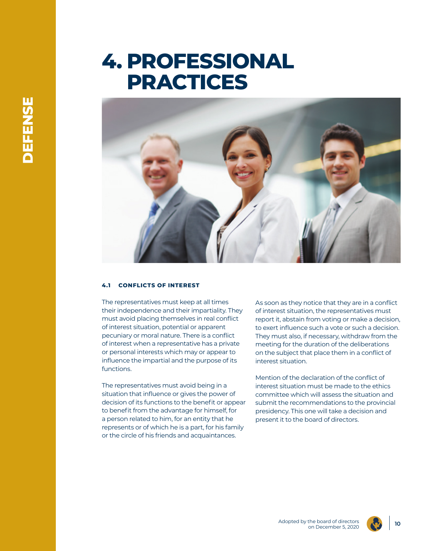# **4. PROFESSIONAL PRACTICES**



### **4.1 CONFLICTS OF INTEREST**

The representatives must keep at all times their independence and their impartiality. They must avoid placing themselves in real conflict of interest situation, potential or apparent pecuniary or moral nature. There is a conflict of interest when a representative has a private or personal interests which may or appear to influence the impartial and the purpose of its functions.

The representatives must avoid being in a situation that influence or gives the power of decision of its functions to the benefit or appear to benefit from the advantage for himself, for a person related to him, for an entity that he represents or of which he is a part, for his family or the circle of his friends and acquaintances.

As soon as they notice that they are in a conflict of interest situation, the representatives must report it, abstain from voting or make a decision, to exert influence such a vote or such a decision. They must also, if necessary, withdraw from the meeting for the duration of the deliberations on the subject that place them in a conflict of interest situation.

Mention of the declaration of the conflict of interest situation must be made to the ethics committee which will assess the situation and submit the recommendations to the provincial presidency. This one will take a decision and present it to the board of directors.

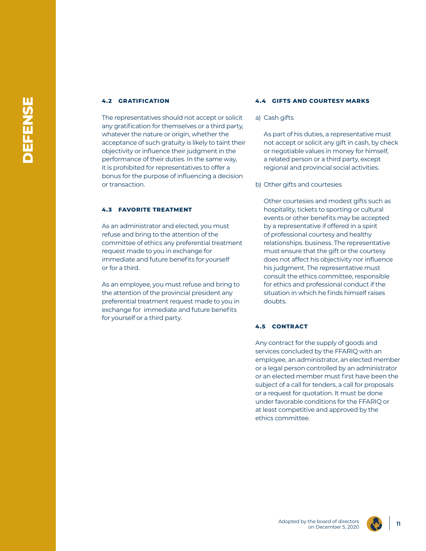### **4.2 GRATIFICATION**

The representatives should not accept or solicit any gratification for themselves or a third party, whatever the nature or origin, whether the acceptance of such gratuity is likely to taint their objectivity or influence their judgment in the performance of their duties. In the same way, it is prohibited for representatives to offer a bonus for the purpose of influencing a decision or transaction.

### **4.3 FAVORITE TREATMENT**

As an administrator and elected, you must refuse and bring to the attention of the committee of ethics any preferential treatment request made to you in exchange for immediate and future benefits for yourself or for a third.

As an employee, you must refuse and bring to the attention of the provincial president any preferential treatment request made to you in exchange for immediate and future benefits for yourself or a third party.

#### **4.4 GIFTS AND COURTESY MARKS**

a) Cash gifts

As part of his duties, a representative must not accept or solicit any gift in cash, by check or negotiable values in money for himself, a related person or a third party, except regional and provincial social activities.

b) Other gifts and courtesies

Other courtesies and modest gifts such as hospitality, tickets to sporting or cultural events or other benefits may be accepted by a representative if offered in a spirit of professional courtesy and healthy relationships. business. The representative must ensure that the gift or the courtesy does not affect his objectivity nor influence his judgment. The representative must consult the ethics committee, responsible for ethics and professional conduct if the situation in which he finds himself raises doubts.

# **4.5 CONTRACT**

Any contract for the supply of goods and services concluded by the FFARIQ with an employee, an administrator, an elected member or a legal person controlled by an administrator or an elected member must first have been the subject of a call for tenders, a call for proposals or a request for quotation. It must be done under favorable conditions for the FFARIQ or at least competitive and approved by the ethics committee.

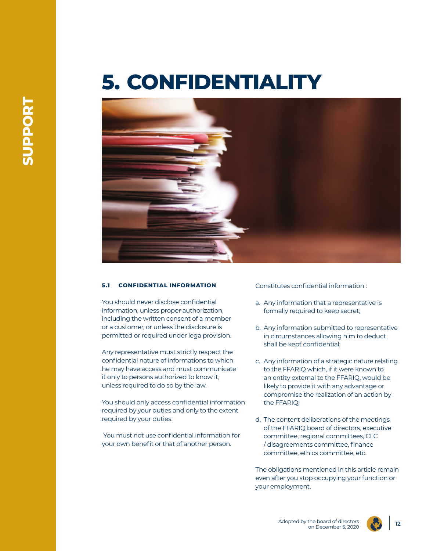# **5. CONFIDENTIALITY**



### **5.1 CONFIDENTIAL INFORMATION**

You should never disclose confidential information, unless proper authorization, including the written consent of a member or a customer, or unless the disclosure is permitted or required under lega provision.

Any representative must strictly respect the confidential nature of informations to which he may have access and must communicate it only to persons authorized to know it, unless required to do so by the law.

You should only access confidential information required by your duties and only to the extent required by your duties.

 You must not use confidential information for your own benefit or that of another person.

Constitutes confidential information :

- a. Any information that a representative is formally required to keep secret;
- b. Any information submitted to representative in circumstances allowing him to deduct shall be kept confidential;
- c. Any information of a strategic nature relating to the FFARIQ which, if it were known to an entity external to the FFARIQ, would be likely to provide it with any advantage or compromise the realization of an action by the FFARIQ;
- d. The content deliberations of the meetings of the FFARIQ board of directors, executive committee, regional committees, CLC / disagreements committee, finance committee, ethics committee, etc.

The obligations mentioned in this article remain even after you stop occupying your function or your employment.





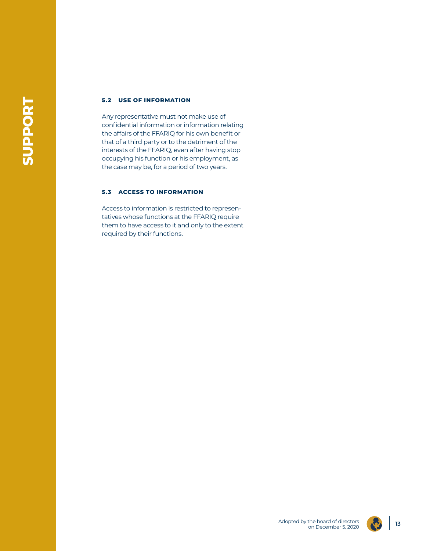# **5.2 USE OF INFORMATION**

Any representative must not make use of confidential information or information relating the affairs of the FFARIQ for his own benefit or that of a third party or to the detriment of the interests of the FFARIQ, even after having stop occupying his function or his employment, as the case may be, for a period of two years.

# **5.3 ACCESS TO INFORMATION**

Access to information is restricted to representatives whose functions at the FFARIQ require them to have access to it and only to the extent required by their functions.

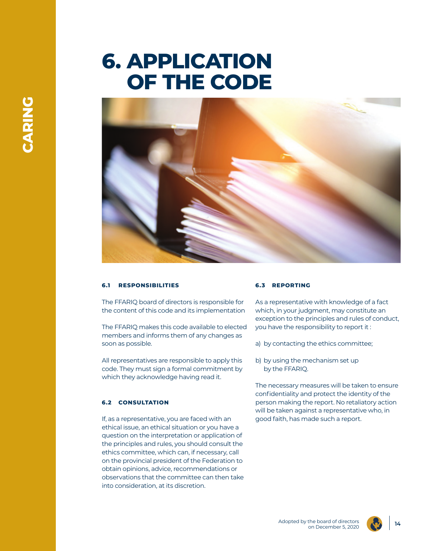# **6. APPLICATION OF THE CODE**



# **6.1 RESPONSIBILITIES**

The FFARIQ board of directors is responsible for the content of this code and its implementation

The FFARIQ makes this code available to elected members and informs them of any changes as soon as possible.

All representatives are responsible to apply this code. They must sign a formal commitment by which they acknowledge having read it.

### **6.2 CONSULTATION**

If, as a representative, you are faced with an ethical issue, an ethical situation or you have a question on the interpretation or application of the principles and rules, you should consult the ethics committee, which can, if necessary, call on the provincial president of the Federation to obtain opinions, advice, recommendations or observations that the committee can then take into consideration, at its discretion.

### **6.3 REPORTING**

As a representative with knowledge of a fact which, in your judgment, may constitute an exception to the principles and rules of conduct, you have the responsibility to report it :

- a) by contacting the ethics committee;
- b) by using the mechanism set up by the FFARIQ.

The necessary measures will be taken to ensure confidentiality and protect the identity of the person making the report. No retaliatory action will be taken against a representative who, in good faith, has made such a report.

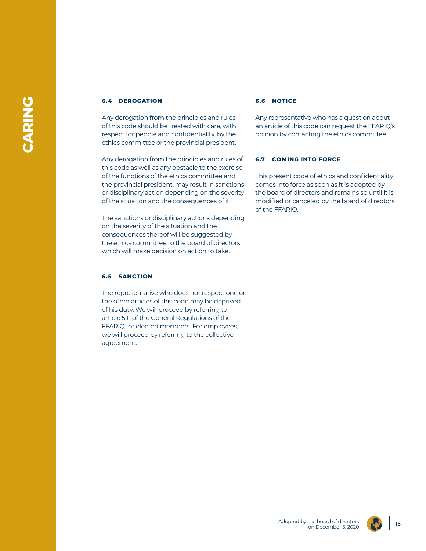### **6.4 DEROGATION**

Any derogation from the principles and rules of this code should be treated with care, with respect for people and confidentiality, by the ethics committee or the provincial president.

Any derogation from the principles and rules of this code as well as any obstacle to the exercise of the functions of the ethics committee and the provincial president, may result in sanctions or disciplinary action depending on the severity of the situation and the consequences of it.

The sanctions or disciplinary actions depending on the severity of the situation and the consequences thereof will be suggested by the ethics committee to the board of directors which will make decision on action to take.

# **6.5 SANCTION**

The representative who does not respect one or the other articles of this code may be deprived of his duty. We will proceed by referring to article 5.11 of the General Regulations of the FFARIQ for elected members. For employees, we will proceed by referring to the collective agreement.

### **6.6 NOTICE**

Any representative who has a question about an article of this code can request the FFARIQ's opinion by contacting the ethics committee.

### **6.7 COMING INTO FORCE**

This present code of ethics and confidentiality comes into force as soon as it is adopted by the board of directors and remains so until it is modified or canceled by the board of directors of the FFARIQ.